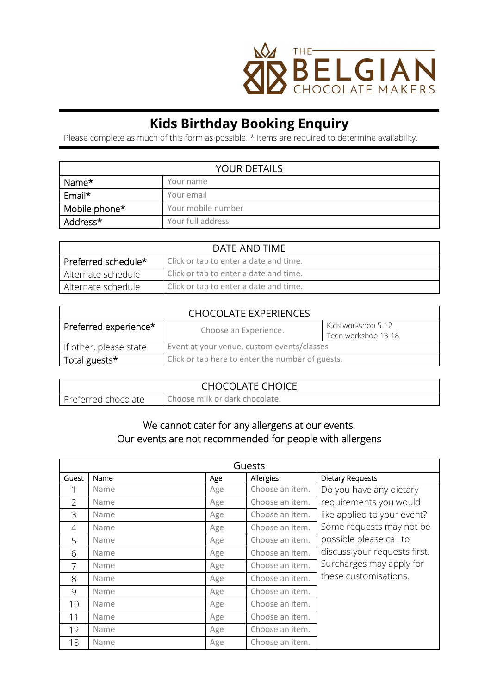

## **Kids Birthday Booking Enquiry**

Please complete as much of this form as possible. \* Items are required to determine availability.

| <b>YOUR DETAILS</b> |                    |  |
|---------------------|--------------------|--|
| Name*               | Your name          |  |
| Email*              | Your email         |  |
| Mobile phone*       | Your mobile number |  |
| Address*            | Your full address  |  |

| DATE AND TIME       |                                        |  |
|---------------------|----------------------------------------|--|
| Preferred schedule* | Click or tap to enter a date and time. |  |
| Alternate schedule  | Click or tap to enter a date and time. |  |
| Alternate schedule  | Click or tap to enter a date and time. |  |

| <b>CHOCOLATE EXPERIENCES</b> |                                                  |                                           |  |
|------------------------------|--------------------------------------------------|-------------------------------------------|--|
| Preferred experience*        | Choose an Experience.                            | Kids workshop 5-12<br>Teen workshop 13-18 |  |
| If other, please state       | Event at your venue, custom events/classes       |                                           |  |
| Total guests*                | Click or tap here to enter the number of guests. |                                           |  |

| <b>CHOCOLATE CHOICE</b> |                                |  |
|-------------------------|--------------------------------|--|
| Preferred chocolate     | Choose milk or dark chocolate. |  |

## We cannot cater for any allergens at our events. Our events are not recommended for people with allergens

| Guests          |      |     |                 |                              |
|-----------------|------|-----|-----------------|------------------------------|
| Guest           | Name | Age | Allergies       | <b>Dietary Requests</b>      |
|                 | Name | Age | Choose an item. | Do you have any dietary      |
| $\mathcal{P}$   | Name | Age | Choose an item. | requirements you would       |
| 3               | Name | Age | Choose an item. | like applied to your event?  |
| 4               | Name | Age | Choose an item. | Some requests may not be     |
| 5               | Name | Age | Choose an item. | possible please call to      |
| 6               | Name | Age | Choose an item. | discuss your requests first. |
| 7               | Name | Age | Choose an item. | Surcharges may apply for     |
| 8               | Name | Age | Choose an item. | these customisations.        |
| $\overline{Q}$  | Name | Age | Choose an item. |                              |
| 10 <sup>°</sup> | Name | Age | Choose an item. |                              |
| 11              | Name | Age | Choose an item. |                              |
| 12              | Name | Age | Choose an item. |                              |
| 13              | Name | Age | Choose an item. |                              |